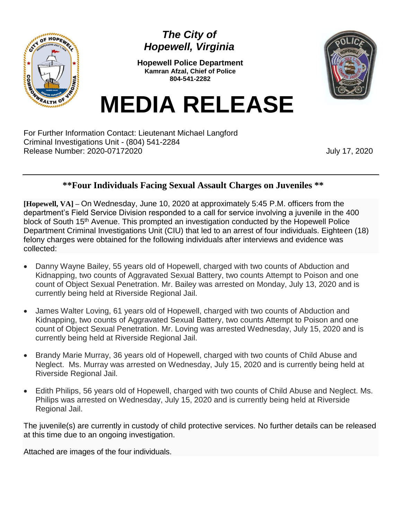

## *The City of Hopewell, Virginia*

**Hopewell Police Department Kamran Afzal, Chief of Police 804-541-2282**



## **MEDIA RELEASE**

For Further Information Contact: Lieutenant Michael Langford Criminal Investigations Unit - (804) 541-2284 Release Number: 2020-07172020 **July 17, 2020** 

## **\*\*Four Individuals Facing Sexual Assault Charges on Juveniles \*\***

**[Hopewell, VA] –** On Wednesday, June 10, 2020 at approximately 5:45 P.M. officers from the department's Field Service Division responded to a call for service involving a juvenile in the 400 block of South 15<sup>th</sup> Avenue. This prompted an investigation conducted by the Hopewell Police Department Criminal Investigations Unit (CIU) that led to an arrest of four individuals. Eighteen (18) felony charges were obtained for the following individuals after interviews and evidence was collected:

- Danny Wayne Bailey, 55 years old of Hopewell, charged with two counts of Abduction and Kidnapping, two counts of Aggravated Sexual Battery, two counts Attempt to Poison and one count of Object Sexual Penetration. Mr. Bailey was arrested on Monday, July 13, 2020 and is currently being held at Riverside Regional Jail.
- James Walter Loving, 61 years old of Hopewell, charged with two counts of Abduction and Kidnapping, two counts of Aggravated Sexual Battery, two counts Attempt to Poison and one count of Object Sexual Penetration. Mr. Loving was arrested Wednesday, July 15, 2020 and is currently being held at Riverside Regional Jail.
- Brandy Marie Murray, 36 years old of Hopewell, charged with two counts of Child Abuse and Neglect. Ms. Murray was arrested on Wednesday, July 15, 2020 and is currently being held at Riverside Regional Jail.
- Edith Philips, 56 years old of Hopewell, charged with two counts of Child Abuse and Neglect. Ms. Philips was arrested on Wednesday, July 15, 2020 and is currently being held at Riverside Regional Jail.

The juvenile(s) are currently in custody of child protective services. No further details can be released at this time due to an ongoing investigation.

Attached are images of the four individuals.